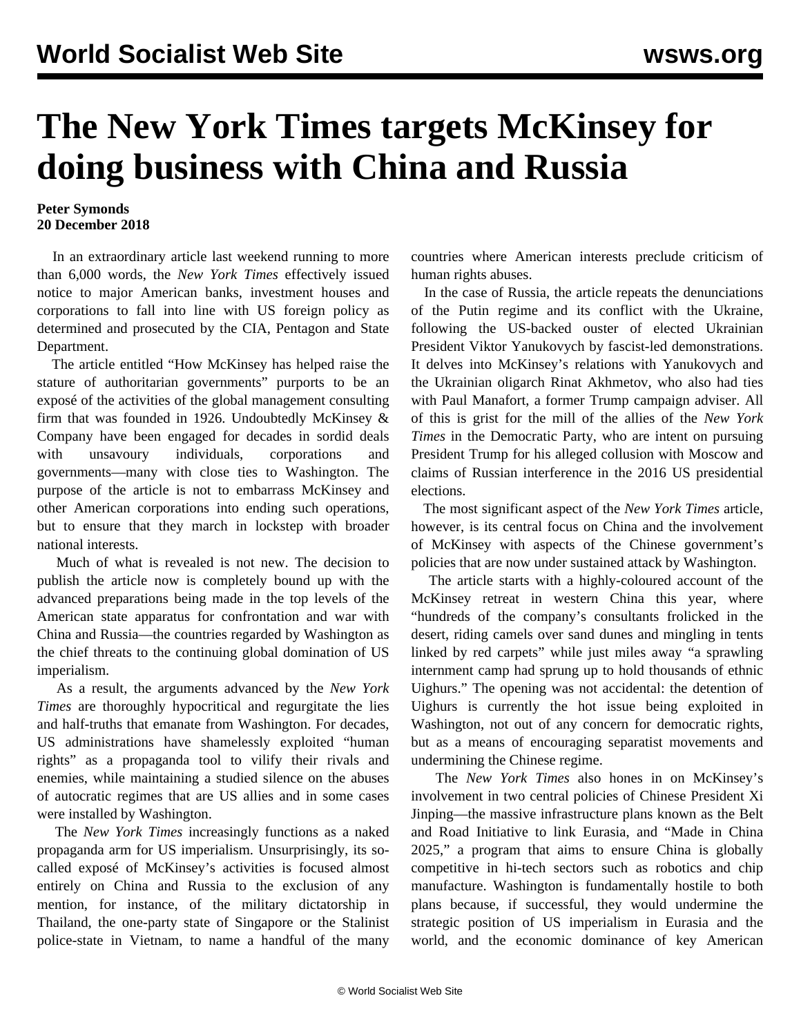## **The New York Times targets McKinsey for doing business with China and Russia**

## **Peter Symonds 20 December 2018**

 In an extraordinary article last weekend running to more than 6,000 words, the *New York Times* effectively issued notice to major American banks, investment houses and corporations to fall into line with US foreign policy as determined and prosecuted by the CIA, Pentagon and State Department.

 The article entitled "How McKinsey has helped raise the stature of authoritarian governments" purports to be an exposé of the activities of the global management consulting firm that was founded in 1926. Undoubtedly McKinsey  $\&$ Company have been engaged for decades in sordid deals with unsavoury individuals, corporations and governments—many with close ties to Washington. The purpose of the article is not to embarrass McKinsey and other American corporations into ending such operations, but to ensure that they march in lockstep with broader national interests.

 Much of what is revealed is not new. The decision to publish the article now is completely bound up with the advanced preparations being made in the top levels of the American state apparatus for confrontation and war with China and Russia—the countries regarded by Washington as the chief threats to the continuing global domination of US imperialism.

 As a result, the arguments advanced by the *New York Times* are thoroughly hypocritical and regurgitate the lies and half-truths that emanate from Washington. For decades, US administrations have shamelessly exploited "human rights" as a propaganda tool to vilify their rivals and enemies, while maintaining a studied silence on the abuses of autocratic regimes that are US allies and in some cases were installed by Washington.

 The *New York Times* increasingly functions as a naked propaganda arm for US imperialism. Unsurprisingly, its socalled exposé of McKinsey's activities is focused almost entirely on China and Russia to the exclusion of any mention, for instance, of the military dictatorship in Thailand, the one-party state of Singapore or the Stalinist police-state in Vietnam, to name a handful of the many

countries where American interests preclude criticism of human rights abuses.

 In the case of Russia, the article repeats the denunciations of the Putin regime and its conflict with the Ukraine, following the US-backed ouster of elected Ukrainian President Viktor Yanukovych by fascist-led demonstrations. It delves into McKinsey's relations with Yanukovych and the Ukrainian oligarch Rinat Akhmetov, who also had ties with Paul Manafort, a former Trump campaign adviser. All of this is grist for the mill of the allies of the *New York Times* in the Democratic Party, who are intent on pursuing President Trump for his alleged collusion with Moscow and claims of Russian interference in the 2016 US presidential elections.

 The most significant aspect of the *New York Times* article, however, is its central focus on China and the involvement of McKinsey with aspects of the Chinese government's policies that are now under sustained attack by Washington.

 The article starts with a highly-coloured account of the McKinsey retreat in western China this year, where "hundreds of the company's consultants frolicked in the desert, riding camels over sand dunes and mingling in tents linked by red carpets" while just miles away "a sprawling internment camp had sprung up to hold thousands of ethnic Uighurs." The opening was not accidental: the detention of Uighurs is currently the hot issue being exploited in Washington, not out of any concern for democratic rights, but as a means of encouraging separatist movements and undermining the Chinese regime.

 The *New York Times* also hones in on McKinsey's involvement in two central policies of Chinese President Xi Jinping—the massive infrastructure plans known as the Belt and Road Initiative to link Eurasia, and "Made in China 2025," a program that aims to ensure China is globally competitive in hi-tech sectors such as robotics and chip manufacture. Washington is fundamentally hostile to both plans because, if successful, they would undermine the strategic position of US imperialism in Eurasia and the world, and the economic dominance of key American